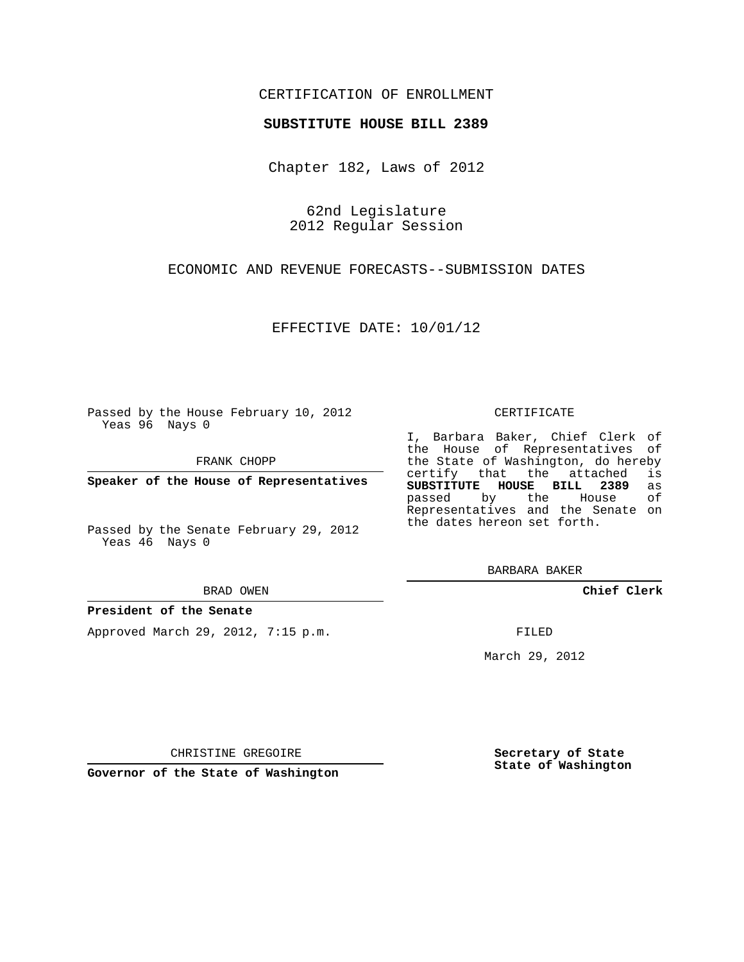## CERTIFICATION OF ENROLLMENT

### **SUBSTITUTE HOUSE BILL 2389**

Chapter 182, Laws of 2012

62nd Legislature 2012 Regular Session

ECONOMIC AND REVENUE FORECASTS--SUBMISSION DATES

EFFECTIVE DATE: 10/01/12

Passed by the House February 10, 2012 Yeas 96 Nays 0

FRANK CHOPP

**Speaker of the House of Representatives**

Passed by the Senate February 29, 2012 Yeas 46 Nays 0

#### BRAD OWEN

### **President of the Senate**

Approved March 29, 2012, 7:15 p.m.

#### CERTIFICATE

I, Barbara Baker, Chief Clerk of the House of Representatives of the State of Washington, do hereby<br>certify that the attached is certify that the attached **SUBSTITUTE HOUSE BILL 2389** as passed by the House of Representatives and the Senate on the dates hereon set forth.

BARBARA BAKER

**Chief Clerk**

FILED

March 29, 2012

**Secretary of State State of Washington**

CHRISTINE GREGOIRE

**Governor of the State of Washington**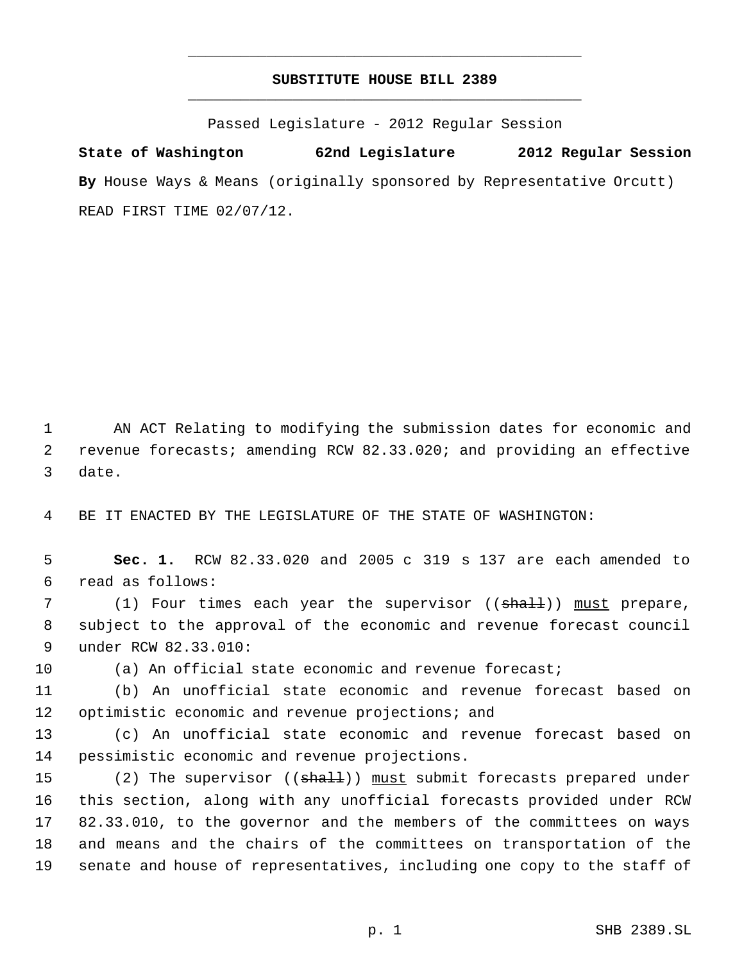# **SUBSTITUTE HOUSE BILL 2389** \_\_\_\_\_\_\_\_\_\_\_\_\_\_\_\_\_\_\_\_\_\_\_\_\_\_\_\_\_\_\_\_\_\_\_\_\_\_\_\_\_\_\_\_\_

\_\_\_\_\_\_\_\_\_\_\_\_\_\_\_\_\_\_\_\_\_\_\_\_\_\_\_\_\_\_\_\_\_\_\_\_\_\_\_\_\_\_\_\_\_

Passed Legislature - 2012 Regular Session

**State of Washington 62nd Legislature 2012 Regular Session By** House Ways & Means (originally sponsored by Representative Orcutt) READ FIRST TIME 02/07/12.

 AN ACT Relating to modifying the submission dates for economic and revenue forecasts; amending RCW 82.33.020; and providing an effective date.

BE IT ENACTED BY THE LEGISLATURE OF THE STATE OF WASHINGTON:

 **Sec. 1.** RCW 82.33.020 and 2005 c 319 s 137 are each amended to read as follows:

7 (1) Four times each year the supervisor ((<del>shall</del>)) <u>must</u> prepare, subject to the approval of the economic and revenue forecast council under RCW 82.33.010:

(a) An official state economic and revenue forecast;

 (b) An unofficial state economic and revenue forecast based on optimistic economic and revenue projections; and

 (c) An unofficial state economic and revenue forecast based on pessimistic economic and revenue projections.

15 (2) The supervisor ((shall)) must submit forecasts prepared under this section, along with any unofficial forecasts provided under RCW 82.33.010, to the governor and the members of the committees on ways and means and the chairs of the committees on transportation of the senate and house of representatives, including one copy to the staff of